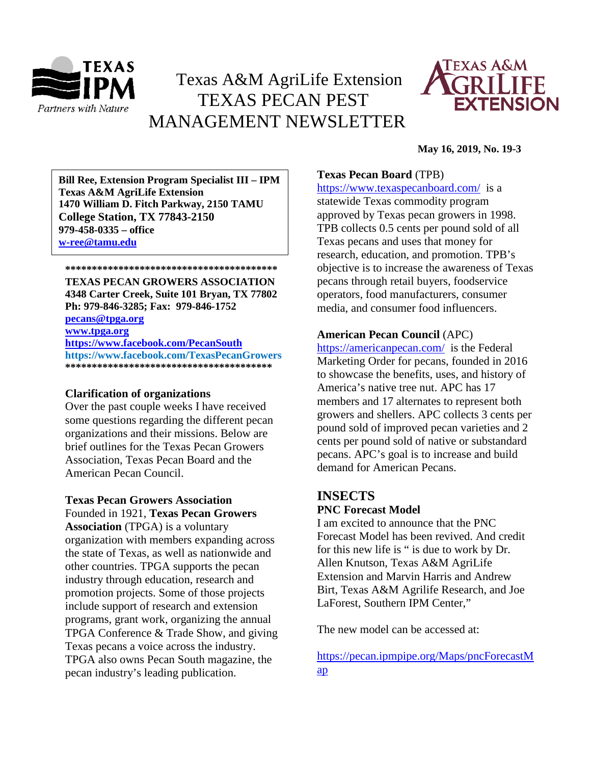

# Texas A&M AgriLife Extension TEXAS PECAN PEST MANAGEMENT NEWSLETTER



#### **May 16, 2019, No. 19-3**

**\*\*\*\*\*\*\*\*\*\*\*\*\*\*\*\*\*\*\*\*\*\*\*\*\*\*\*\*\*\*\*\*\*\*\*\*\*\*\*\* 1470 William D. Fitch Parkway, 2150 TAMU Bill Ree, Extension Program Specialist III – IPM Texas A&M AgriLife Extension College Station, TX 77843-2150 979-458-0335 – office [w-ree@tamu.edu](mailto:w-ree@tamu.edu)**

# **\*\*\*\*\*\*\*\*\*\*\*\*\*\*\*\*\*\*\*\*\*\*\*\*\*\*\*\*\*\*\*\*\*\*\*\*\*\*\*\***

**TEXAS PECAN GROWERS ASSOCIATION 4348 Carter Creek, Suite 101 Bryan, TX 77802 Ph: 979-846-3285; Fax: 979-846-1752**

**[pecans@tpga.org](mailto:pecans@tpga.org) [www.tpga.org](http://www.tpga.org/)**

**<https://www.facebook.com/PecanSouth> https://www.facebook.com/TexasPecanGrowers \*\*\*\*\*\*\*\*\*\*\*\*\*\*\*\*\*\*\*\*\*\*\*\*\*\*\*\*\*\*\*\*\*\*\*\*\*\*\***

#### **Clarification of organizations**

Over the past couple weeks I have received some questions regarding the different pecan organizations and their missions. Below are brief outlines for the Texas Pecan Growers Association, Texas Pecan Board and the American Pecan Council.

**Texas Pecan Growers Association** Founded in 1921, **Texas Pecan Growers Association** (TPGA) is a voluntary organization with members expanding across the state of Texas, as well as nationwide and other countries. TPGA supports the pecan industry through education, research and promotion projects. Some of those projects include support of research and extension programs, grant work, organizing the annual TPGA Conference & Trade Show, and giving Texas pecans a voice across the industry. TPGA also owns Pecan South magazine, the pecan industry's leading publication.

## **Texas Pecan Board** (TPB)

<https://www.texaspecanboard.com/>is a statewide Texas commodity program approved by Texas pecan growers in 1998. TPB collects 0.5 cents per pound sold of all Texas pecans and uses that money for research, education, and promotion. TPB's objective is to increase the awareness of Texas pecans through retail buyers, foodservice operators, food manufacturers, consumer media, and consumer food influencers.

## **American Pecan Council** (APC)

<https://americanpecan.com/> is the Federal Marketing Order for pecans, founded in 2016 to showcase the benefits, uses, and history of America's native tree nut. APC has 17 members and 17 alternates to represent both growers and shellers. APC collects 3 cents per pound sold of improved pecan varieties and 2 cents per pound sold of native or substandard pecans. APC's goal is to increase and build demand for American Pecans.

# **INSECTS**

### **PNC Forecast Model**

I am excited to announce that the PNC Forecast Model has been revived. And credit for this new life is " is due to work by Dr. Allen Knutson, Texas A&M AgriLife Extension and Marvin Harris and Andrew Birt, Texas A&M Agrilife Research, and Joe LaForest, Southern IPM Center,"

The new model can be accessed at:

[https://pecan.ipmpipe.org/Maps/pncForecastM](https://urldefense.proofpoint.com/v2/url?u=https-3A__pecan.ipmpipe.org_Maps_pncForecastMap&d=DwMFAg&c=r_tSStIHV2ie60z4DgB-pQ&r=kLHh8yJBRH0qZIqWLXm2EddUjT6jBvQQ90YAG205sK0&m=7T55arAUrkH6a2VDoA1MtIfXvudIKkbl-QTP9wErWyM&s=0AKghJSbB4gUObuU7vL6mBTrMTajfoCBBuvali2_jvw&e=) [ap](https://urldefense.proofpoint.com/v2/url?u=https-3A__pecan.ipmpipe.org_Maps_pncForecastMap&d=DwMFAg&c=r_tSStIHV2ie60z4DgB-pQ&r=kLHh8yJBRH0qZIqWLXm2EddUjT6jBvQQ90YAG205sK0&m=7T55arAUrkH6a2VDoA1MtIfXvudIKkbl-QTP9wErWyM&s=0AKghJSbB4gUObuU7vL6mBTrMTajfoCBBuvali2_jvw&e=)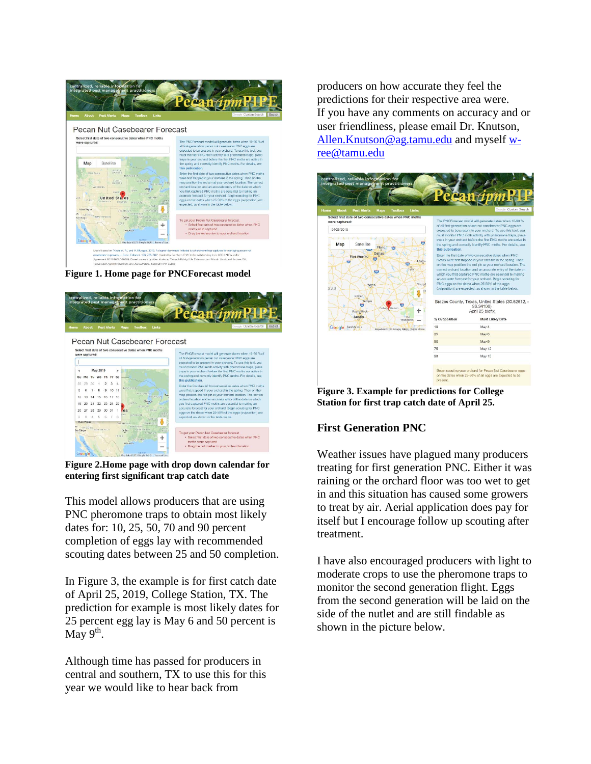

**Figure 1. Home page for PNCForecast model**



**Figure 2.Home page with drop down calendar for entering first significant trap catch date**

This model allows producers that are using PNC pheromone traps to obtain most likely dates for: 10, 25, 50, 70 and 90 percent completion of eggs lay with recommended scouting dates between 25 and 50 completion.

In Figure 3, the example is for first catch date of April 25, 2019, College Station, TX. The prediction for example is most likely dates for 25 percent egg lay is May 6 and 50 percent is May  $9^{\text{th}}$ .

Although time has passed for producers in central and southern, TX to use this for this year we would like to hear back from

producers on how accurate they feel the predictions for their respective area were. If you have any comments on accuracy and or user friendliness, please email Dr. Knutson, [Allen.Knutson@ag.tamu.edu](mailto:Allen.Knutson@ag.tamu.edu) and myself [w](mailto:w-ree@tamu.edu)[ree@tamu.edu](mailto:w-ree@tamu.edu)



**Figure 3. Example for predictions for College Station for first trap catch date of April 25.**

# **First Generation PNC**

Weather issues have plagued many producers treating for first generation PNC. Either it was raining or the orchard floor was too wet to get in and this situation has caused some growers to treat by air. Aerial application does pay for itself but I encourage follow up scouting after treatment.

I have also encouraged producers with light to moderate crops to use the pheromone traps to monitor the second generation flight. Eggs from the second generation will be laid on the side of the nutlet and are still findable as shown in the picture below.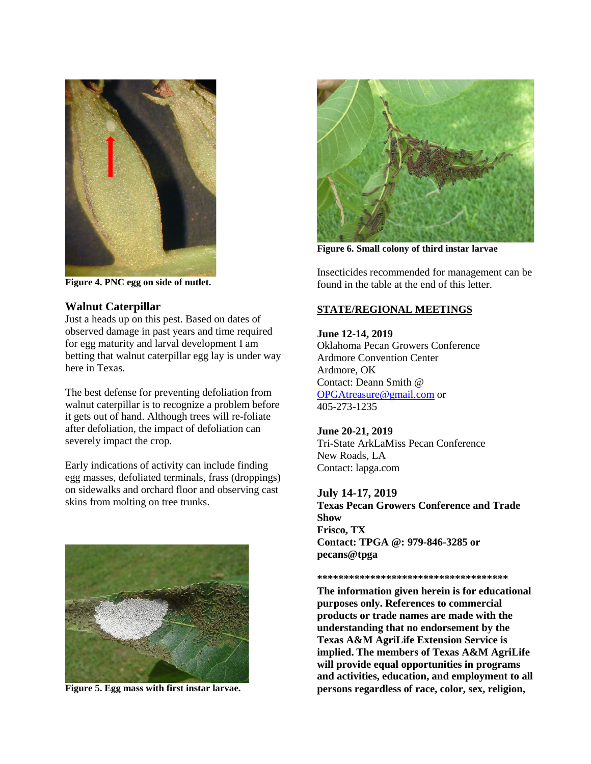

**Figure 4. PNC egg on side of nutlet.**

### **Walnut Caterpillar**

Just a heads up on this pest. Based on dates of observed damage in past years and time required for egg maturity and larval development I am betting that walnut caterpillar egg lay is under way here in Texas.

The best defense for preventing defoliation from walnut caterpillar is to recognize a problem before it gets out of hand. Although trees will re-foliate after defoliation, the impact of defoliation can severely impact the crop.

Early indications of activity can include finding egg masses, defoliated terminals, frass (droppings) on sidewalks and orchard floor and observing cast skins from molting on tree trunks.



**Figure 5. Egg mass with first instar larvae.**



**Figure 6. Small colony of third instar larvae**

Insecticides recommended for management can be found in the table at the end of this letter.

## **STATE/REGIONAL MEETINGS**

**June 12-14, 2019** Oklahoma Pecan Growers Conference Ardmore Convention Center Ardmore, OK Contact: Deann Smith @ [OPGAtreasure@gmail.com](mailto:OPGAtreasure@gmail.com) or 405-273-1235

#### **June 20-21, 2019** Tri-State ArkLaMiss Pecan Conference New Roads, LA Contact: lapga.com

**July 14-17, 2019 Texas Pecan Growers Conference and Trade Show Frisco, TX Contact: TPGA @: 979-846-3285 or pecans@tpga**

**\*\*\*\*\*\*\*\*\*\*\*\*\*\*\*\*\*\*\*\*\*\*\*\*\*\*\*\*\*\*\*\*\*\*\*\***

**The information given herein is for educational purposes only. References to commercial products or trade names are made with the understanding that no endorsement by the Texas A&M AgriLife Extension Service is implied. The members of Texas A&M AgriLife will provide equal opportunities in programs and activities, education, and employment to all persons regardless of race, color, sex, religion,**